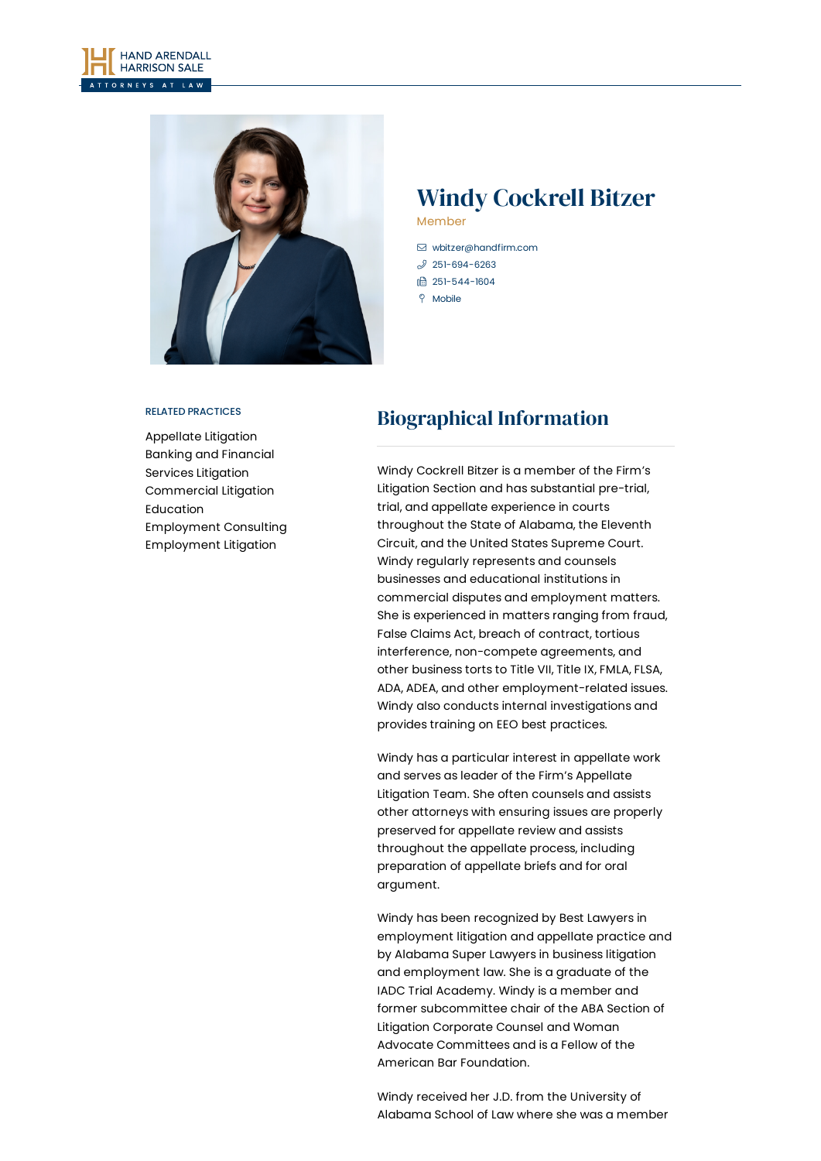



## Windy Cockrell Bitzer Member

- [wbitzer@handfirm.com](mailto:wbitzer@handfirm.com)  $$251-694-6263$  $$251-694-6263$ □ 251-544-1604
- $9$  Mobile

#### RELATED PRACTICES

[Appellate](https://www.handfirm.com/practices/litigation/appellate-litigation/) Litigation Banking and [Financial](https://www.handfirm.com/practices/litigation/banking-and-financial-services-litigation/) Services Litigation [Commercial](https://www.handfirm.com/practices/litigation/commercial-litigation/) Litigation [Education](https://www.handfirm.com/practices/industries/education/) [Employment](https://www.handfirm.com/practices/business-services/employment-consulting/) Consulting [Employment](https://www.handfirm.com/practices/litigation/employment-litigation/) Litigation

# Biographical Information

Windy Cockrell Bitzer is a member of the Firm's Litigation Section and has substantial pre-trial, trial, and appellate experience in courts throughout the State of Alabama, the Eleventh Circuit, and the United States Supreme Court. Windy regularly represents and counsels businesses and educational institutions in commercial disputes and employment matters. She is experienced in matters ranging from fraud, False Claims Act, breach of contract, tortious interference, non-compete agreements, and other business torts to Title VII, Title IX, FMLA, FLSA, ADA, ADEA, and other employment-related issues. Windy also conducts internal investigations and provides training on EEO best practices.

Windy has a particular interest in appellate work and serves as leader of the Firm's Appellate Litigation Team. She often counsels and assists other attorneys with ensuring issues are properly preserved for appellate review and assists throughout the appellate process, including preparation of appellate briefs and for oral argument.

Windy has been recognized by Best Lawyers in employment litigation and appellate practice and by Alabama Super Lawyers in business litigation and employment law. She is a graduate of the IADC Trial Academy. Windy is a member and former subcommittee chair of the ABA Section of Litigation Corporate Counsel and Woman Advocate Committees and is a Fellow of the American Bar Foundation.

Windy received her J.D. from the University of Alabama School of Law where she was a member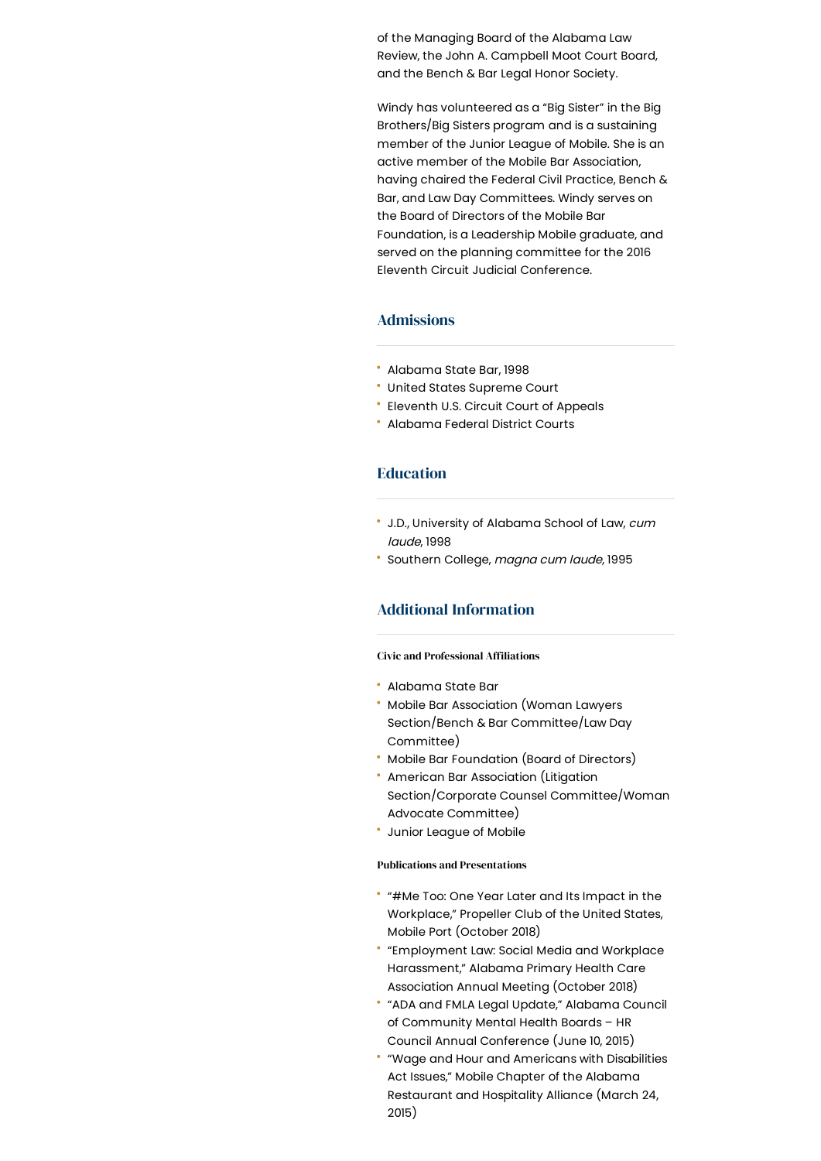of the Managing Board of the Alabama Law Review, the John A. Campbell Moot Court Board, and the Bench & Bar Legal Honor Society.

Windy has volunteered as a "Big Sister" in the Big Brothers/Big Sisters program and is a sustaining member of the Junior League of Mobile. She is an active member of the Mobile Bar Association, having chaired the Federal Civil Practice, Bench & Bar, and Law Day Committees. Windy serves on the Board of Directors of the Mobile Bar Foundation, is a Leadership Mobile graduate, and served on the planning committee for the 2016 Eleventh Circuit Judicial Conference.

### Admissions

- Alabama State Bar, 1998
- United States Supreme Court
- Eleventh U.S. Circuit Court of Appeals
- Alabama Federal District Courts

## Education

- \* J.D., University of Alabama School of Law, cum laude, 1998
- Southern College, magna cum laude, 1995

## Additional Information

### **Civic and Professional Affiliations**

- Alabama State Bar
- Mobile Bar Association (Woman Lawyers Section/Bench & Bar Committee/Law Day Committee)
- Mobile Bar Foundation (Board of Directors)
- American Bar Association (Litigation Section/Corporate Counsel Committee/Woman Advocate Committee)
- Junior League of Mobile

### Publications and Presentations

- "#Me Too: One Year Later and Its Impact in the Workplace," Propeller Club of the United States, Mobile Port (October 2018)
- "Employment Law: Social Media and Workplace Harassment," Alabama Primary Health Care Association Annual Meeting (October 2018)
- "ADA and FMLA Legal Update," Alabama Council of Community Mental Health Boards – HR Council Annual Conference (June 10, 2015)
- "Wage and Hour and Americans with Disabilities Act Issues," Mobile Chapter of the Alabama Restaurant and Hospitality Alliance (March 24, 2015)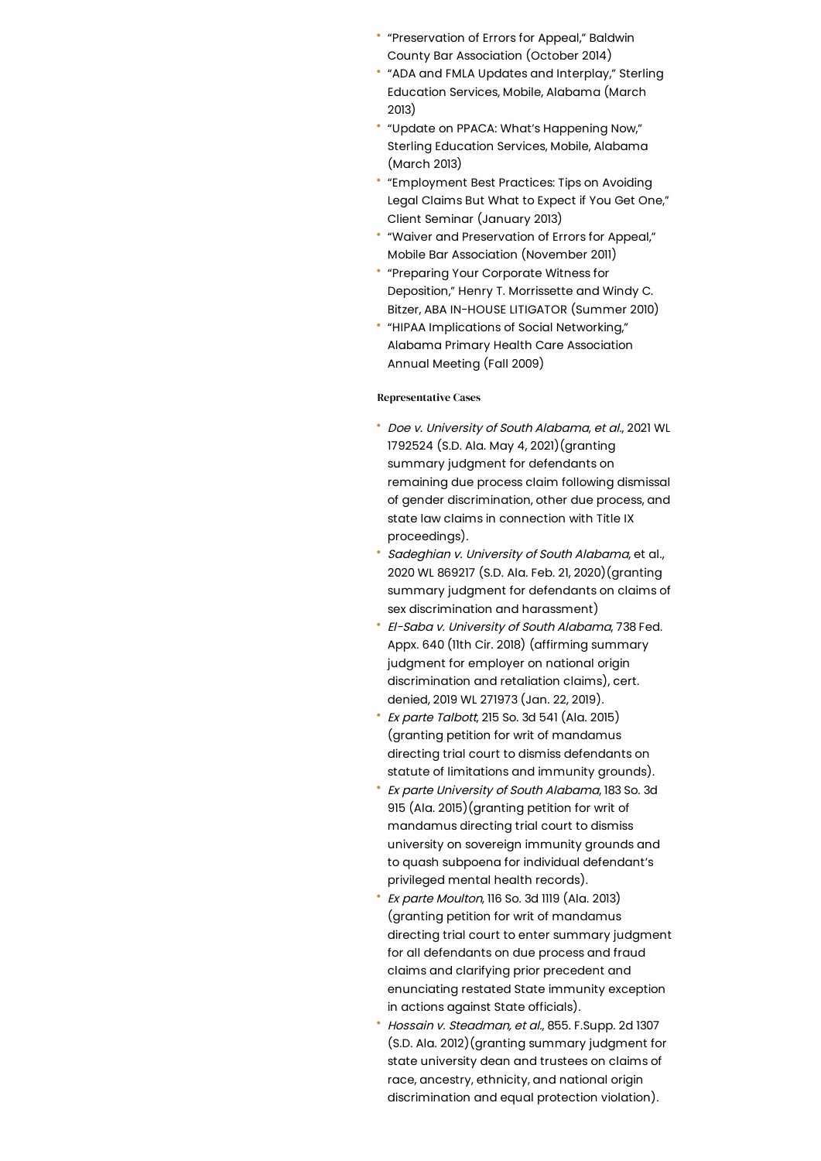- "Preservation of Errors for Appeal," Baldwin County Bar Association (October 2014)
- "ADA and FMLA Updates and Interplay," Sterling Education Services, Mobile, Alabama (March 2013)
- "Update on PPACA: What's Happening Now," Sterling Education Services, Mobile, Alabama (March 2013)
- "Employment Best Practices: Tips on Avoiding Legal Claims But What to Expect if You Get One," Client Seminar (January 2013)
- "Waiver and Preservation of Errors for Appeal," Mobile Bar Association (November 2011)
- "Preparing Your Corporate Witness for Deposition," Henry T. Morrissette and Windy C. Bitzer, ABA IN-HOUSE LITIGATOR (Summer 2010)
- "HIPAA Implications of Social Networking," Alabama Primary Health Care Association Annual Meeting (Fall 2009)

#### Representative Cases

- Doe v. University of South Alabama, et al., 2021 WL 1792524 (S.D. Ala. May 4, 2021)(granting summary judgment for defendants on remaining due process claim following dismissal of gender discrimination, other due process, and state law claims in connection with Title IX proceedings).
- Sadeghian v. University of South Alabama, et al., 2020 WL 869217 (S.D. Ala. Feb. 21, 2020)(granting summary judgment for defendants on claims of sex discrimination and harassment)
- El-Saba v. University of South Alabama, 738 Fed. Appx. 640 (11th Cir. 2018) (affirming summary judgment for employer on national origin discrimination and retaliation claims), cert. denied, 2019 WL 271973 (Jan. 22, 2019).
- Ex parte Talbott, 215 So. 3d 541 (Ala. 2015) (granting petition for writ of mandamus directing trial court to dismiss defendants on statute of limitations and immunity grounds).
- Ex parte University of South Alabama, 183 So. 3d 915 (Ala. 2015)(granting petition for writ of mandamus directing trial court to dismiss university on sovereign immunity grounds and to quash subpoena for individual defendant's privileged mental health records).
- Ex parte Moulton, 116 So. 3d 1119 (Ala. 2013) (granting petition for writ of mandamus directing trial court to enter summary judgment for all defendants on due process and fraud claims and clarifying prior precedent and enunciating restated State immunity exception in actions against State officials).
- Hossain v. Steadman, et al., 855. F.Supp. 2d 1307 (S.D. Ala. 2012)(granting summary judgment for state university dean and trustees on claims of race, ancestry, ethnicity, and national origin discrimination and equal protection violation).